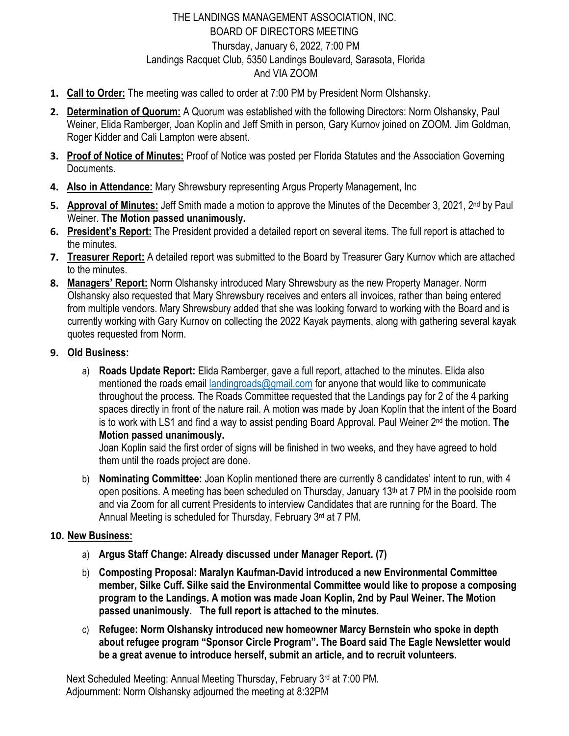# THE LANDINGS MANAGEMENT ASSOCIATION, INC. BOARD OF DIRECTORS MEETING Thursday, January 6, 2022, 7:00 PM Landings Racquet Club, 5350 Landings Boulevard, Sarasota, Florida And VIA ZOOM

- **1. Call to Order:** The meeting was called to order at 7:00 PM by President Norm Olshansky.
- **2. Determination of Quorum:** A Quorum was established with the following Directors: Norm Olshansky, Paul Weiner, Elida Ramberger, Joan Koplin and Jeff Smith in person, Gary Kurnov joined on ZOOM. Jim Goldman, Roger Kidder and Cali Lampton were absent.
- **3. Proof of Notice of Minutes:** Proof of Notice was posted per Florida Statutes and the Association Governing Documents.
- **4. Also in Attendance:** Mary Shrewsbury representing Argus Property Management, Inc
- **5. Approval of Minutes:** Jeff Smith made a motion to approve the Minutes of the December 3, 2021, 2nd by Paul Weiner. **The Motion passed unanimously.**
- **6. President's Report:** The President provided a detailed report on several items. The full report is attached to the minutes.
- **7. Treasurer Report:** A detailed report was submitted to the Board by Treasurer Gary Kurnov which are attached to the minutes.
- **8. Managers' Report:** Norm Olshansky introduced Mary Shrewsbury as the new Property Manager. Norm Olshansky also requested that Mary Shrewsbury receives and enters all invoices, rather than being entered from multiple vendors. Mary Shrewsbury added that she was looking forward to working with the Board and is currently working with Gary Kurnov on collecting the 2022 Kayak payments, along with gathering several kayak quotes requested from Norm.
- **9. Old Business:** 
	- a) **Roads Update Report:** Elida Ramberger, gave a full report, attached to the minutes. Elida also mentioned the roads email landingroads@gmail.com for anyone that would like to communicate throughout the process. The Roads Committee requested that the Landings pay for 2 of the 4 parking spaces directly in front of the nature rail. A motion was made by Joan Koplin that the intent of the Board is to work with LS1 and find a way to assist pending Board Approval. Paul Weiner 2nd the motion. **The Motion passed unanimously.**

Joan Koplin said the first order of signs will be finished in two weeks, and they have agreed to hold them until the roads project are done.

b) **Nominating Committee:** Joan Koplin mentioned there are currently 8 candidates' intent to run, with 4 open positions. A meeting has been scheduled on Thursday, January  $13<sup>th</sup>$  at 7 PM in the poolside room and via Zoom for all current Presidents to interview Candidates that are running for the Board. The Annual Meeting is scheduled for Thursday, February 3rd at 7 PM.

# **10. New Business:**

- a) **Argus Staff Change: Already discussed under Manager Report. (7)**
- b) **Composting Proposal: Maralyn Kaufman-David introduced a new Environmental Committee member, Silke Cuff. Silke said the Environmental Committee would like to propose a composing program to the Landings. A motion was made Joan Koplin, 2nd by Paul Weiner. The Motion passed unanimously. The full report is attached to the minutes.**
- c) **Refugee: Norm Olshansky introduced new homeowner Marcy Bernstein who spoke in depth about refugee program "Sponsor Circle Program". The Board said The Eagle Newsletter would be a great avenue to introduce herself, submit an article, and to recruit volunteers.**

Next Scheduled Meeting: Annual Meeting Thursday, February 3rd at 7:00 PM. Adjournment: Norm Olshansky adjourned the meeting at 8:32PM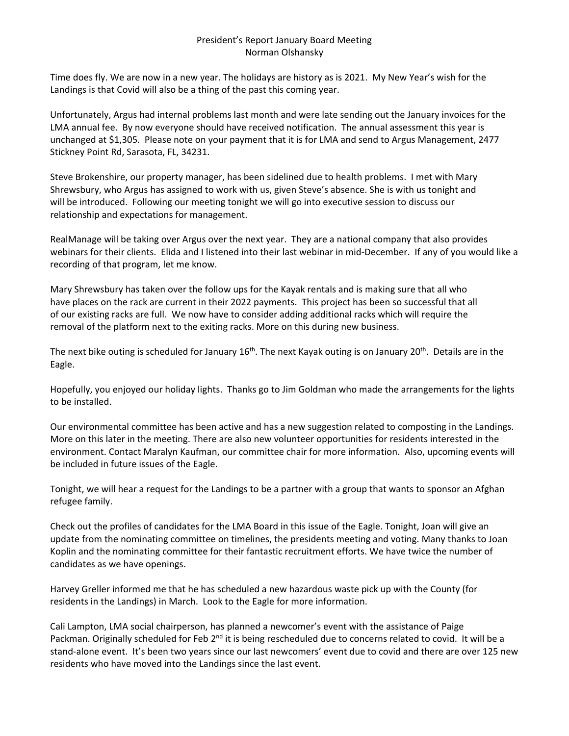#### President's Report January Board Meeting Norman Olshansky

Time does fly. We are now in a new year. The holidays are history as is 2021. My New Year's wish for the Landings is that Covid will also be a thing of the past this coming year.

Unfortunately, Argus had internal problems last month and were late sending out the January invoices for the LMA annual fee. By now everyone should have received notification. The annual assessment this year is unchanged at \$1,305. Please note on your payment that it is for LMA and send to Argus Management, 2477 Stickney Point Rd, Sarasota, FL, 34231.

Steve Brokenshire, our property manager, has been sidelined due to health problems. I met with Mary Shrewsbury, who Argus has assigned to work with us, given Steve's absence. She is with us tonight and will be introduced. Following our meeting tonight we will go into executive session to discuss our relationship and expectations for management.

RealManage will be taking over Argus over the next year. They are a national company that also provides webinars for their clients. Elida and I listened into their last webinar in mid-December. If any of you would like a recording of that program, let me know.

Mary Shrewsbury has taken over the follow ups for the Kayak rentals and is making sure that all who have places on the rack are current in their 2022 payments. This project has been so successful that all of our existing racks are full. We now have to consider adding additional racks which will require the removal of the platform next to the exiting racks. More on this during new business.

The next bike outing is scheduled for January  $16<sup>th</sup>$ . The next Kayak outing is on January 20<sup>th</sup>. Details are in the Eagle.

Hopefully, you enjoyed our holiday lights. Thanks go to Jim Goldman who made the arrangements for the lights to be installed.

Our environmental committee has been active and has a new suggestion related to composting in the Landings. More on this later in the meeting. There are also new volunteer opportunities for residents interested in the environment. Contact Maralyn Kaufman, our committee chair for more information. Also, upcoming events will be included in future issues of the Eagle.

Tonight, we will hear a request for the Landings to be a partner with a group that wants to sponsor an Afghan refugee family.

Check out the profiles of candidates for the LMA Board in this issue of the Eagle. Tonight, Joan will give an update from the nominating committee on timelines, the presidents meeting and voting. Many thanks to Joan Koplin and the nominating committee for their fantastic recruitment efforts. We have twice the number of candidates as we have openings.

Harvey Greller informed me that he has scheduled a new hazardous waste pick up with the County (for residents in the Landings) in March. Look to the Eagle for more information.

Cali Lampton, LMA social chairperson, has planned a newcomer's event with the assistance of Paige Packman. Originally scheduled for Feb 2<sup>nd</sup> it is being rescheduled due to concerns related to covid. It will be a stand‐alone event. It's been two years since our last newcomers' event due to covid and there are over 125 new residents who have moved into the Landings since the last event.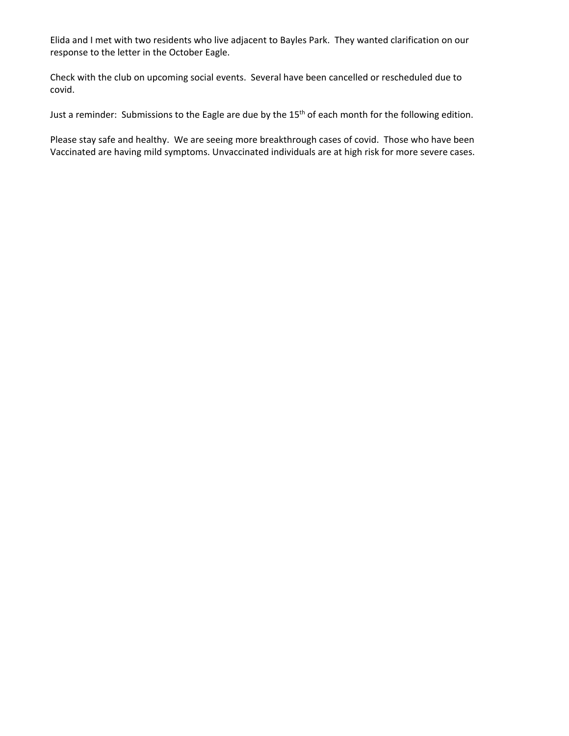Elida and I met with two residents who live adjacent to Bayles Park. They wanted clarification on our response to the letter in the October Eagle.

Check with the club on upcoming social events. Several have been cancelled or rescheduled due to covid.

Just a reminder: Submissions to the Eagle are due by the 15<sup>th</sup> of each month for the following edition.

Please stay safe and healthy. We are seeing more breakthrough cases of covid. Those who have been Vaccinated are having mild symptoms. Unvaccinated individuals are at high risk for more severe cases.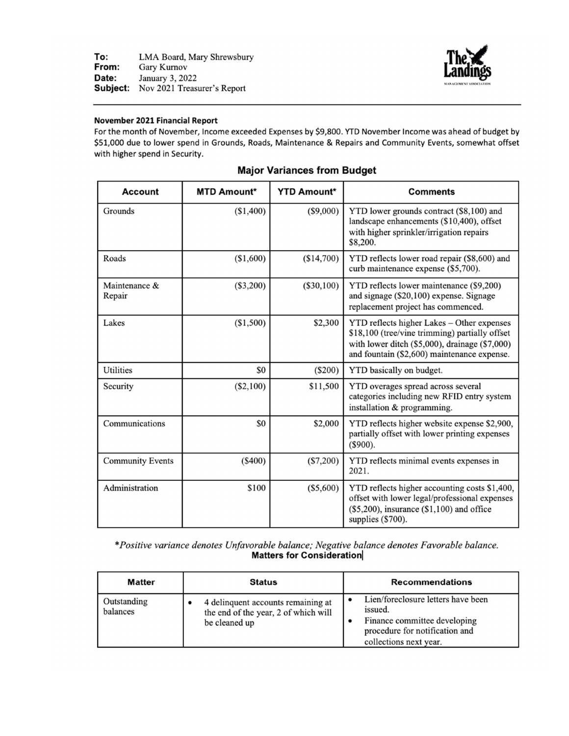

#### November 2021 Financial Report

For the month of November, Income exceeded Expenses by \$9,800. YTD November Income was ahead of budget by \$51,000 due to lower spend in Grounds, Roads, Maintenance & Repairs and Community Events, somewhat offset with higher spend in Security.

| <b>Account</b>          | <b>MTD Amount*</b> | <b>YTD Amount*</b> | <b>Comments</b>                                                                                                                                                                                    |
|-------------------------|--------------------|--------------------|----------------------------------------------------------------------------------------------------------------------------------------------------------------------------------------------------|
| Grounds                 | (\$1,400)          | $(\$9,000)$        | YTD lower grounds contract (\$8,100) and<br>landscape enhancements (\$10,400), offset<br>with higher sprinkler/irrigation repairs<br>\$8,200.                                                      |
| Roads                   | (\$1,600)          | (\$14,700)         | YTD reflects lower road repair (\$8,600) and<br>curb maintenance expense (\$5,700).                                                                                                                |
| Maintenance &<br>Repair | $(\$3,200)$        | $(\$30,100)$       | YTD reflects lower maintenance (\$9,200)<br>and signage (\$20,100) expense. Signage<br>replacement project has commenced.                                                                          |
| Lakes                   | (\$1,500)          | \$2,300            | YTD reflects higher Lakes - Other expenses<br>\$18,100 (tree/vine trimming) partially offset<br>with lower ditch $(\$5,000)$ , drainage $(\$7,000)$<br>and fountain (\$2,600) maintenance expense. |
| <b>Utilities</b>        | \$0                | (S200)             | YTD basically on budget.                                                                                                                                                                           |
| Security                | (\$2,100)          | \$11,500           | YTD overages spread across several<br>categories including new RFID entry system<br>installation & programming.                                                                                    |
| Communications          | \$0                | \$2,000            | YTD reflects higher website expense \$2,900,<br>partially offset with lower printing expenses<br>$(\$900).$                                                                                        |
| <b>Community Events</b> | (\$400)            | $(\$7,200)$        | YTD reflects minimal events expenses in<br>2021.                                                                                                                                                   |
| Administration          | \$100              | $(\$5,600)$        | YTD reflects higher accounting costs \$1,400,<br>offset with lower legal/professional expenses<br>$(\$5,200)$ , insurance $(\$1,100)$ and office<br>supplies (\$700).                              |

#### **Major Variances from Budget**

\*Positive variance denotes Unfavorable balance; Negative balance denotes Favorable balance. **Matters for Consideration** 

| <b>Matter</b>           | <b>Status</b>                                                                               | <b>Recommendations</b>                                                                                                                    |
|-------------------------|---------------------------------------------------------------------------------------------|-------------------------------------------------------------------------------------------------------------------------------------------|
| Outstanding<br>balances | 4 delinquent accounts remaining at<br>the end of the year, 2 of which will<br>be cleaned up | Lien/foreclosure letters have been<br>issued.<br>Finance committee developing<br>procedure for notification and<br>collections next year. |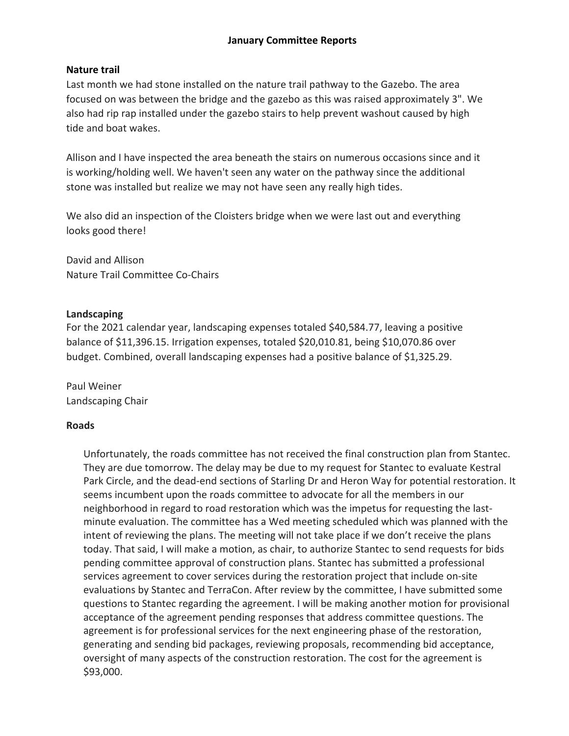# **January Committee Reports**

## **Nature trail**

Last month we had stone installed on the nature trail pathway to the Gazebo. The area focused on was between the bridge and the gazebo as this was raised approximately 3". We also had rip rap installed under the gazebo stairs to help prevent washout caused by high tide and boat wakes.

Allison and I have inspected the area beneath the stairs on numerous occasions since and it is working/holding well. We haven't seen any water on the pathway since the additional stone was installed but realize we may not have seen any really high tides.

We also did an inspection of the Cloisters bridge when we were last out and everything looks good there!

David and Allison Nature Trail Committee Co‐Chairs

### **Landscaping**

For the 2021 calendar year, landscaping expenses totaled \$40,584.77, leaving a positive balance of \$11,396.15. Irrigation expenses, totaled \$20,010.81, being \$10,070.86 over budget. Combined, overall landscaping expenses had a positive balance of \$1,325.29.

Paul Weiner Landscaping Chair

### **Roads**

Unfortunately, the roads committee has not received the final construction plan from Stantec. They are due tomorrow. The delay may be due to my request for Stantec to evaluate Kestral Park Circle, and the dead‐end sections of Starling Dr and Heron Way for potential restoration. It seems incumbent upon the roads committee to advocate for all the members in our neighborhood in regard to road restoration which was the impetus for requesting the last‐ minute evaluation. The committee has a Wed meeting scheduled which was planned with the intent of reviewing the plans. The meeting will not take place if we don't receive the plans today. That said, I will make a motion, as chair, to authorize Stantec to send requests for bids pending committee approval of construction plans. Stantec has submitted a professional services agreement to cover services during the restoration project that include on‐site evaluations by Stantec and TerraCon. After review by the committee, I have submitted some questions to Stantec regarding the agreement. I will be making another motion for provisional acceptance of the agreement pending responses that address committee questions. The agreement is for professional services for the next engineering phase of the restoration, generating and sending bid packages, reviewing proposals, recommending bid acceptance, oversight of many aspects of the construction restoration. The cost for the agreement is \$93,000.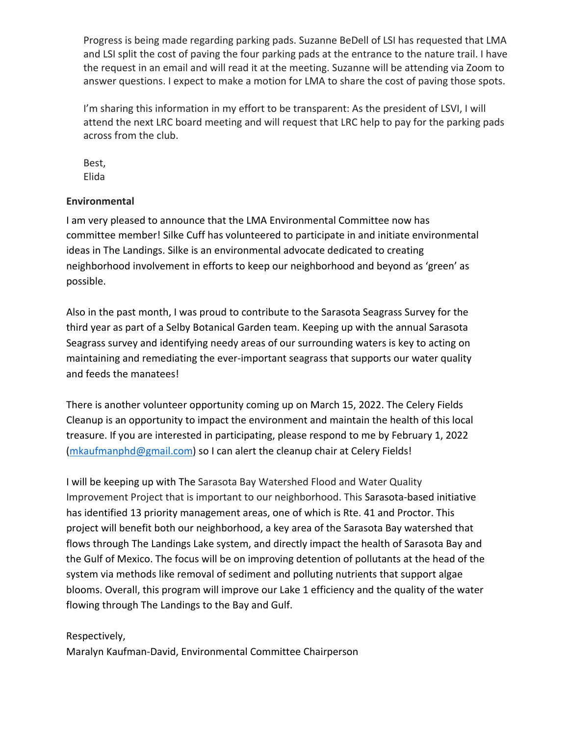Progress is being made regarding parking pads. Suzanne BeDell of LSI has requested that LMA and LSI split the cost of paving the four parking pads at the entrance to the nature trail. I have the request in an email and will read it at the meeting. Suzanne will be attending via Zoom to answer questions. I expect to make a motion for LMA to share the cost of paving those spots.

I'm sharing this information in my effort to be transparent: As the president of LSVI, I will attend the next LRC board meeting and will request that LRC help to pay for the parking pads across from the club.

Best, Elida

# **Environmental**

I am very pleased to announce that the LMA Environmental Committee now has committee member! Silke Cuff has volunteered to participate in and initiate environmental ideas in The Landings. Silke is an environmental advocate dedicated to creating neighborhood involvement in efforts to keep our neighborhood and beyond as 'green' as possible.

Also in the past month, I was proud to contribute to the Sarasota Seagrass Survey for the third year as part of a Selby Botanical Garden team. Keeping up with the annual Sarasota Seagrass survey and identifying needy areas of our surrounding waters is key to acting on maintaining and remediating the ever‐important seagrass that supports our water quality and feeds the manatees!

There is another volunteer opportunity coming up on March 15, 2022. The Celery Fields Cleanup is an opportunity to impact the environment and maintain the health of this local treasure. If you are interested in participating, please respond to me by February 1, 2022 (mkaufmanphd@gmail.com) so I can alert the cleanup chair at Celery Fields!

I will be keeping up with The Sarasota Bay Watershed Flood and Water Quality Improvement Project that is important to our neighborhood. This Sarasota‐based initiative has identified 13 priority management areas, one of which is Rte. 41 and Proctor. This project will benefit both our neighborhood, a key area of the Sarasota Bay watershed that flows through The Landings Lake system, and directly impact the health of Sarasota Bay and the Gulf of Mexico. The focus will be on improving detention of pollutants at the head of the system via methods like removal of sediment and polluting nutrients that support algae blooms. Overall, this program will improve our Lake 1 efficiency and the quality of the water flowing through The Landings to the Bay and Gulf.

# Respectively,

Maralyn Kaufman‐David, Environmental Committee Chairperson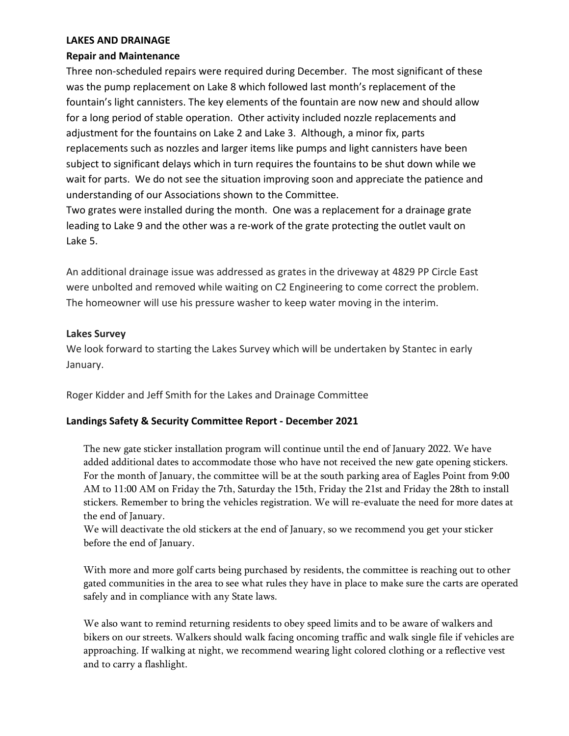### **LAKES AND DRAINAGE**

## **Repair and Maintenance**

Three non‐scheduled repairs were required during December. The most significant of these was the pump replacement on Lake 8 which followed last month's replacement of the fountain's light cannisters. The key elements of the fountain are now new and should allow for a long period of stable operation. Other activity included nozzle replacements and adjustment for the fountains on Lake 2 and Lake 3. Although, a minor fix, parts replacements such as nozzles and larger items like pumps and light cannisters have been subject to significant delays which in turn requires the fountains to be shut down while we wait for parts. We do not see the situation improving soon and appreciate the patience and understanding of our Associations shown to the Committee.

Two grates were installed during the month. One was a replacement for a drainage grate leading to Lake 9 and the other was a re-work of the grate protecting the outlet vault on Lake 5.

An additional drainage issue was addressed as grates in the driveway at 4829 PP Circle East were unbolted and removed while waiting on C2 Engineering to come correct the problem. The homeowner will use his pressure washer to keep water moving in the interim.

## **Lakes Survey**

We look forward to starting the Lakes Survey which will be undertaken by Stantec in early January.

Roger Kidder and Jeff Smith for the Lakes and Drainage Committee

# **Landings Safety & Security Committee Report ‐ December 2021**

The new gate sticker installation program will continue until the end of January 2022. We have added additional dates to accommodate those who have not received the new gate opening stickers. For the month of January, the committee will be at the south parking area of Eagles Point from 9:00 AM to 11:00 AM on Friday the 7th, Saturday the 15th, Friday the 21st and Friday the 28th to install stickers. Remember to bring the vehicles registration. We will re-evaluate the need for more dates at the end of January.

We will deactivate the old stickers at the end of January, so we recommend you get your sticker before the end of January.

With more and more golf carts being purchased by residents, the committee is reaching out to other gated communities in the area to see what rules they have in place to make sure the carts are operated safely and in compliance with any State laws.

We also want to remind returning residents to obey speed limits and to be aware of walkers and bikers on our streets. Walkers should walk facing oncoming traffic and walk single file if vehicles are approaching. If walking at night, we recommend wearing light colored clothing or a reflective vest and to carry a flashlight.